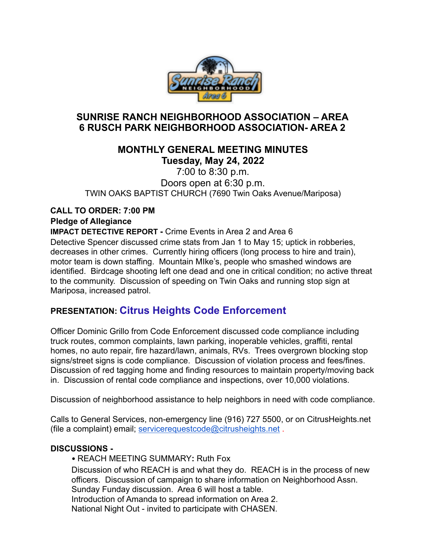

## **SUNRISE RANCH NEIGHBORHOOD ASSOCIATION – AREA 6 RUSCH PARK NEIGHBORHOOD ASSOCIATION- AREA 2**

## **MONTHLY GENERAL MEETING MINUTES Tuesday, May 24, 2022**

7:00 to 8:30 p.m. Doors open at 6:30 p.m. TWIN OAKS BAPTIST CHURCH (7690 Twin Oaks Avenue/Mariposa)

#### **CALL TO ORDER: 7:00 PM Pledge of Allegiance**

**IMPACT DETECTIVE REPORT - Crime Events in Area 2 and Area 6** Detective Spencer discussed crime stats from Jan 1 to May 15; uptick in robberies, decreases in other crimes. Currently hiring officers (long process to hire and train), motor team is down staffing. Mountain MIke's, people who smashed windows are identified. Birdcage shooting left one dead and one in critical condition; no active threat to the community. Discussion of speeding on Twin Oaks and running stop sign at Mariposa, increased patrol.

# **PRESENTATION: Citrus Heights Code Enforcement**

Officer Dominic Grillo from Code Enforcement discussed code compliance including truck routes, common complaints, lawn parking, inoperable vehicles, graffiti, rental homes, no auto repair, fire hazard/lawn, animals, RVs. Trees overgrown blocking stop signs/street signs is code compliance. Discussion of violation process and fees/fines. Discussion of red tagging home and finding resources to maintain property/moving back in. Discussion of rental code compliance and inspections, over 10,000 violations.

Discussion of neighborhood assistance to help neighbors in need with code compliance.

Calls to General Services, non-emergency line (916) 727 5500, or on CitrusHeights.net (file a complaint) email; [servicerequestcode@citrusheights.net](mailto:servicerequestcode@citrusheights.net) .

### **DISCUSSIONS -**

• REACH MEETING SUMMARY**:** Ruth Fox Discussion of who REACH is and what they do. REACH is in the process of new officers. Discussion of campaign to share information on Neighborhood Assn. Sunday Funday discussion. Area 6 will host a table. Introduction of Amanda to spread information on Area 2. National Night Out - invited to participate with CHASEN.